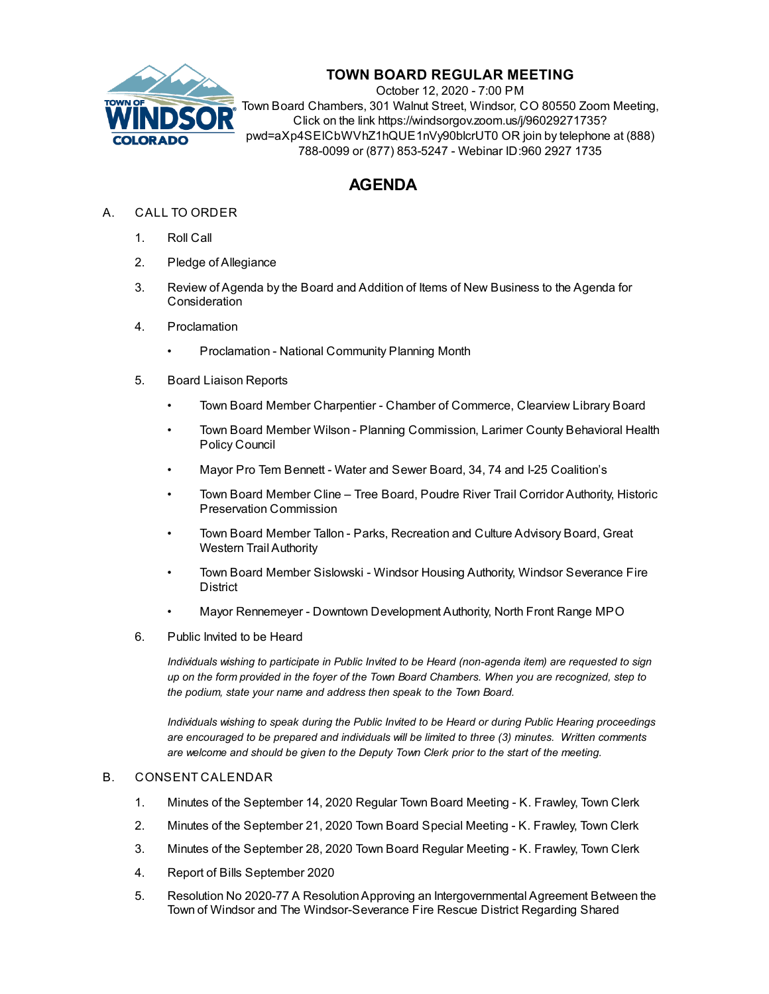

## **TOWN BOARD REGULAR MEETING**

October 12, 2020 - 7:00 PM Town Board Chambers, 301 Walnut Street, Windsor, CO 80550 Zoom Meeting, Click on the link https://windsorgov.zoom.us/j/96029271735? pwd=aXp4SElCbWVhZ1hQUE1nVy90blcrUT0 OR join by telephone at (888) 788-0099 or (877) 853-5247 - Webinar ID:960 2927 1735

# **AGENDA**

- A. CALL TO ORDER
	- 1. Roll Call
	- 2. Pledge of Allegiance
	- 3. Review of Agenda by the Board and Addition of Items of New Business to the Agenda for **Consideration**
	- 4. Proclamation
		- [Proclamation](file:///C:/Windows/TEMP/CoverSheet.aspx?ItemID=1063&MeetingID=129) National Community Planning Month
	- 5. Board Liaison Reports
		- Town Board Member Charpentier Chamber of Commerce, Clearview Library Board
		- Town Board Member Wilson Planning Commission, Larimer County Behavioral Health Policy Council
		- Mayor Pro Tem Bennett Water and Sewer Board, 34, 74 and I-25 Coalition's
		- Town Board Member Cline Tree Board, Poudre River Trail Corridor Authority, Historic Preservation Commission
		- Town Board Member Tallon Parks, Recreation and Culture Advisory Board, Great Western Trail Authority
		- Town Board Member Sislowski Windsor Housing Authority, Windsor Severance Fire **District**
		- Mayor Rennemeyer Downtown Development Authority, North Front Range MPO
	- 6. Public Invited to be Heard

*Individuals wishing to participate in Public Invited to be Heard (non-agenda item) are requested to sign* up on the form provided in the foyer of the Town Board Chambers. When you are recognized, step to *the podium, state your name and address then speak to the Town Board.*

*Individuals wishing to speak during the Public Invited to be Heard or during Public Hearing proceedings are encouraged to be prepared and individuals will be limited to three (3) minutes. Written comments are welcome and should be given to the Deputy Town Clerk prior to the start of the meeting.*

#### B. CONSENT CALENDAR

- 1. Minutes of the [September](file:///C:/Windows/TEMP/CoverSheet.aspx?ItemID=1061&MeetingID=129) 14, 2020 Regular Town Board Meeting K. Frawley, Town Clerk
- 2. Minutes of the [September](file:///C:/Windows/TEMP/CoverSheet.aspx?ItemID=1076&MeetingID=129) 21, 2020 Town Board Special Meeting K. Frawley, Town Clerk
- 3. Minutes of the [September](file:///C:/Windows/TEMP/CoverSheet.aspx?ItemID=1090&MeetingID=129) 28, 2020 Town Board Regular Meeting K. Frawley, Town Clerk
- 4. Report of Bills [September](file:///C:/Windows/TEMP/CoverSheet.aspx?ItemID=1083&MeetingID=129) 2020
- 5. Resolution No 2020-77 A [ResolutionApproving](file:///C:/Windows/TEMP/CoverSheet.aspx?ItemID=1088&MeetingID=129) an Intergovernmental Agreement Between the Town of Windsor and The Windsor-Severance Fire Rescue District Regarding Shared